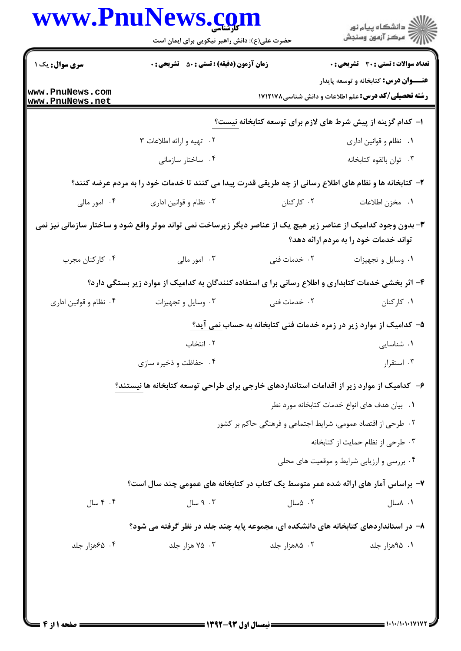|                                    | حضرت علی(ع): دانش راهبر نیکویی برای ایمان است                                                                  |                                                              | ڪ دانشڪاه پيام نور<br>//> مرڪز آزمون وسنڊش                                                                 |
|------------------------------------|----------------------------------------------------------------------------------------------------------------|--------------------------------------------------------------|------------------------------------------------------------------------------------------------------------|
| <b>سری سوال :</b> یک ۱             | <b>زمان آزمون (دقیقه) : تستی : ۵۰</b> تشریحی : 0                                                               |                                                              | <b>تعداد سوالات : تستی : 30 ٪ تشریحی : 0</b>                                                               |
| www.PnuNews.com<br>www.PnuNews.net |                                                                                                                |                                                              | <b>عنـــوان درس:</b> کتابخانه و توسعه پایدار<br><b>رشته تحصیلی/کد درس:</b> علم اطلاعات و دانش شناسی۸۷۱۲۱۷۸ |
|                                    |                                                                                                                | ۱– کدام گزینه از پیش شرط های لازم برای توسعه کتابخانه نیست؟  |                                                                                                            |
|                                    | ۰۲ تهيه و ارائه اطلاعات ۳                                                                                      |                                                              | ٠١. نظام و قوانين اداري                                                                                    |
|                                    | ۰۴ ساختار سازمانی                                                                                              |                                                              | ٠٣ توان بالقوه كتابخانه                                                                                    |
|                                    | ۲- کتابخانه ها و نظام های اطلاع رسانی از چه طریقی قدرت پیدا می کنند تا خدمات خود را به مردم عرضه کنند؟         |                                                              |                                                                                                            |
| ۰۴ امور مالی                       | ۰۳ نظام و قوانین اداری                                                                                         | ۰۲ کارکنان                                                   | ٠١. مخزن اطلاعات                                                                                           |
|                                    | ۳- بدون وجود کدامیک از عناصر زیر هیچ یک از عناصر دیگر زیرساخت نمی تواند موثر واقع شود و ساختار سازمانی نیز نمی |                                                              | تواند خدمات خود را به مردم ارائه دهد؟                                                                      |
| ۰۴ کارکنان مجرب                    | ۰۳ امور مالی                                                                                                   | ۰۲ خدمات فنی                                                 | ٠١ وسايل و تجهيزات                                                                                         |
|                                    | ۴- اثر بخشی خدمات کتابداری و اطلاع رسانی برا ی استفاده کنندگان به کدامیک از موارد زیر بستگی دارد؟              |                                                              |                                                                                                            |
| ۰۴ نظام و قوانین اداری             | ۰۳ وسایل و تجهیزات                                                                                             | ۰۲ خدمات فنی                                                 | ۰۱ کارکنان                                                                                                 |
|                                    | ۵– کدامیک از موارد زیر در زمره خدمات فنی کتابخانه به حساب <u>نمی</u> آید؟                                      |                                                              |                                                                                                            |
|                                    | ۰۲ انتخاب                                                                                                      |                                                              | ۰۱ شناسایی                                                                                                 |
|                                    | ۰۴ حفاظت و ذخیره سازی                                                                                          |                                                              | ۰۳ استقرار                                                                                                 |
|                                    | ۶– کدامیک از موارد زیر از اقدامات استانداردهای خارجی برای طراحی توسعه کتابخانه ها نیستند؟                      |                                                              |                                                                                                            |
|                                    |                                                                                                                |                                                              | ۰۱ بیان هدف های انواع خدمات کتابخانه مورد نظر                                                              |
|                                    |                                                                                                                | ۰۲ طرحی از اقتصاد عمومی، شرایط اجتماعی و فرهنگی حاکم بر کشور |                                                                                                            |
|                                    |                                                                                                                |                                                              | ۰۳ طرحی از نظام حمایت از کتابخانه                                                                          |
|                                    |                                                                                                                |                                                              | ۰۴ بررسی و ارزیابی شرایط و موقعیت های محلی                                                                 |
|                                    | ۷- براساس آمار های ارائه شده عمر متوسط یک کتاب در کتابخانه های عمومی چند سال است؟                              |                                                              |                                                                                                            |
| ۰۴ سال                             | ۰۳ میال                                                                                                        | ۰۲ ۵سال                                                      | ۰۱ ۸سال                                                                                                    |
|                                    | ۸– در استانداردهای کتابخانه های دانشکده ای، مجموعه پایه چند جلد در نظر گرفته می شود؟                           |                                                              |                                                                                                            |
| ۰۴ ۶۵هزار جلد                      | ۰۳ هزار جلد                                                                                                    | ۰۲ ۸۵هزار جلد                                                | ۰۱ ۹۵هزار جلد                                                                                              |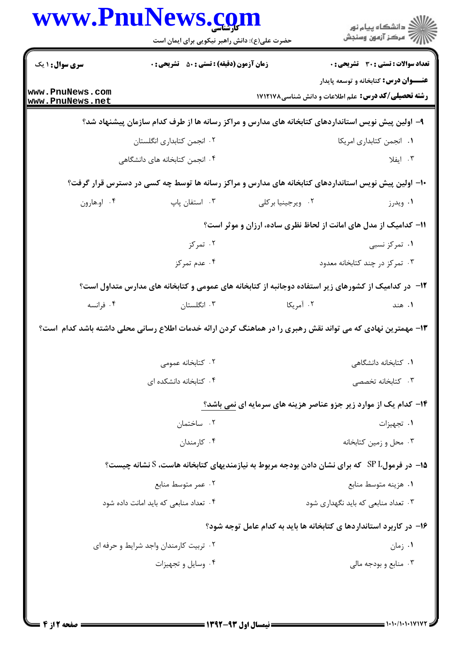|                                    | www.PnuNews.com<br>حضرت علی(ع): دانش راهبر نیکویی برای ایمان است                                                                 |                   | ر<br>دانشڪاه پيام نور)<br>ا∛ مرڪز آزمون وسنڊش                                                |
|------------------------------------|----------------------------------------------------------------------------------------------------------------------------------|-------------------|----------------------------------------------------------------------------------------------|
|                                    |                                                                                                                                  |                   |                                                                                              |
| سری سوال : ۱ یک                    | <b>زمان آزمون (دقیقه) : تستی : 50 ٪ تشریحی : 0</b>                                                                               |                   | <b>تعداد سوالات : تستی : 30 ٪ تشریحی : 0</b><br><b>عنـــوان درس:</b> کتابخانه و توسعه پایدار |
| www.PnuNews.com<br>www.PnuNews.net |                                                                                                                                  |                   | <b>رشته تحصیلی/کد درس: ع</b> لم اطلاعات و دانش شناسی1۷۱۲۱۷۸                                  |
|                                    | ۹– اولین پیش نویس استانداردهای کتابخانه های مدارس و مراکز رسانه ها از طرف کدام سازمان پیشنهاد شد؟                                |                   |                                                                                              |
|                                    | ۰۲ انجمن کتابداری انگلستان                                                                                                       |                   | ٠١. انجمن كتابداري امريكا                                                                    |
| ۰۴ انجمن کتابخانه های دانشگاهی     |                                                                                                                                  |                   | ۰۳ ایفلا                                                                                     |
|                                    | ۱۰– اولین پیش نویس استانداردهای کتابخانه های مدارس و مراکز رسانه ها توسط چه کسی در دسترس قرار گرفت؟                              |                   |                                                                                              |
| ۰۴ او.هارون                        | ۰۳ استفان پاپ                                                                                                                    | ۰۲ ویرجینیا برکلی | ۰۱ ویدرز                                                                                     |
|                                    |                                                                                                                                  |                   | 11- کدامیک از مدل های امانت از لحاظ نظری ساده، ارزان و موثر است؟                             |
|                                    | ۰۲ تمرکز                                                                                                                         |                   | ۰۱ تمرکز نسبی                                                                                |
|                                    | ۰۴ عدم تمرکز                                                                                                                     |                   | ۰۳ تمرکز در چند کتابخانه معدود                                                               |
|                                    | ۱۲– در کدامیک از کشورهای زیر استفاده دوجانبه از کتابخانه های عمومی و کتابخانه های مدارس متداول است؟                              |                   |                                                                                              |
| ۰۴ فرانسه                          | ۰۳ انگلستان                                                                                                                      | ۰۲ آمریکا         | ۰۱ هند                                                                                       |
|                                    | ۱۳- مهمترین نهادی که می تواند نقش رهبری را در هماهنگ کردن ارائه خدمات اطلاع رسانی محلی داشته باشد کدام است؟<br>۰۲ کتابخانه عمومی |                   | ۰۱ کتابخانه دانشگاهی                                                                         |
|                                    | ۰۴ کتابخانه دانشکده ای                                                                                                           |                   | ۰۳ کتابخانه تخصصی                                                                            |
|                                    |                                                                                                                                  |                   | ۱۴- کدام یک از موارد زیر جزو عناصر هزینه های سرمایه ای نمی باشد؟                             |
|                                    | ۰۲ ساختمان<br>۰۴ کارمندان                                                                                                        |                   | ٠١. تجهيزات<br>۰۳ محل و زمین کتابخانه                                                        |
|                                    |                                                                                                                                  |                   |                                                                                              |
|                                    | ۰۱۵ در فرمول $\rm SP~L$ که برای نشان دادن بودجه مربوط به نیازمندیهای کتابخانه هاست، S نشانه چیست؟<br>۰۲ عمر متوسط منابع          |                   |                                                                                              |
|                                    | ۰۴ تعداد منابعی که باید امانت داده شود                                                                                           |                   | ٠١ هزينه متوسط منابع<br>۰۳ تعداد منابعی که باید نگهداری شود                                  |
|                                    |                                                                                                                                  |                   |                                                                                              |
|                                    | ۰۲ تربیت کارمندان واجد شرایط و حرفه ای                                                                                           |                   | ۱۶– در کاربرد استانداردها ی کتابخانه ها باید به کدام عامل توجه شود؟<br>۰۱ زمان               |
|                                    |                                                                                                                                  |                   |                                                                                              |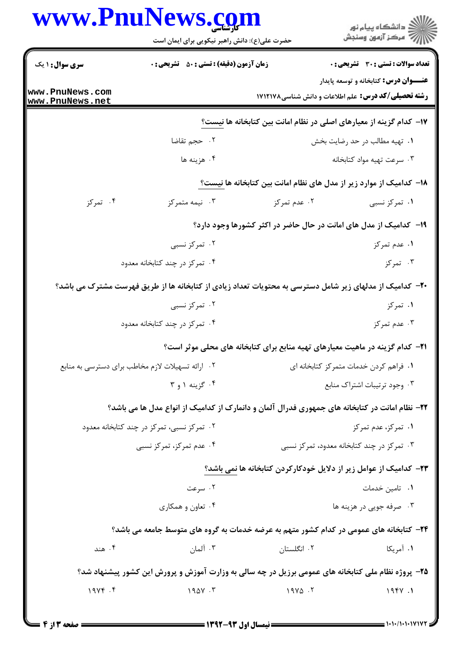|                                            | حضرت علی(ع): دانش راهبر نیکویی برای ایمان است                                                           |                                                                                      | ر<br>دانشڪاه پيام نور)<br>سرڪز آزمون وسنڊش   |
|--------------------------------------------|---------------------------------------------------------------------------------------------------------|--------------------------------------------------------------------------------------|----------------------------------------------|
| <b>سری سوال : ۱ یک</b>                     | <b>زمان آزمون (دقیقه) : تستی : 50 ٪ تشریحی : 0</b>                                                      |                                                                                      | تعداد سوالات : تستي : 30 ٪ تشريحي : 0        |
|                                            |                                                                                                         |                                                                                      | <b>عنـــوان درس:</b> کتابخانه و توسعه پایدار |
| www.PnuNews.com<br>www.PnuNews.net         |                                                                                                         | <b>رشته تحصیلی/کد درس:</b> علم اطلاعات و دانش شناسی۸۷۱۲۱۷۸                           |                                              |
|                                            |                                                                                                         | ۱۷– کدام گزینه از معیارهای اصلی در نظام امانت بین کتابخانه ها نیست؟                  |                                              |
|                                            | ٠٢ حجم تقاضا                                                                                            |                                                                                      | ۰۱ تهیه مطالب در حد رضایت بخش                |
|                                            | ۰۴ هزينه ها                                                                                             |                                                                                      | ۰۳ سرعت تهيه مواد كتابخانه                   |
|                                            |                                                                                                         | ۱۸– کدامیک از موارد زیر از مدل های نظام امانت بین کتابخانه ها نیست؟                  |                                              |
| ۰۴ تمرکز                                   | ۰۳ نیمه متمرکز                                                                                          | ۰۲ عدم تمرکز                                                                         | ۰۱ تمرکز نسبی                                |
|                                            |                                                                                                         | ۱۹- کدامیک از مدل های امانت در حال حاضر در اکثر کشورها وجود دارد؟                    |                                              |
|                                            | ۰۲ تمرکز نسبی                                                                                           |                                                                                      | ۰۱ عدم تمرکز                                 |
|                                            | ۰۴ تمرکز در چند کتابخانه معدود                                                                          |                                                                                      | ۰۳ تمرکز                                     |
|                                            | +۲- کدامیک از مدلهای زیر شامل دسترسی به محتویات تعداد زیادی از کتابخانه ها از طریق فهرست مشترک می باشد؟ |                                                                                      |                                              |
|                                            | ۰۲ تمرکز نسبی                                                                                           |                                                                                      | ۰۱ تمرکز                                     |
|                                            | ۰۴ تمرکز در چند کتابخانه معدود                                                                          |                                                                                      | ۰۳ عدم تمرکز                                 |
|                                            |                                                                                                         | <b>۲۱</b> - کدام گزینه در ماهیت معیارهای تهیه منابع برای کتابخانه های محلی موثر است؟ |                                              |
|                                            | ۰۲ ارائه تسهیلات لازم مخاطب برای دسترسی به منابع                                                        |                                                                                      | ٠١ فراهم كردن خدمات متمركز كتابخانه اي       |
|                                            | ۰۴ گزینه ۱ و ۳                                                                                          |                                                                                      | ۰۳ وجود ترتيبات اشتراك منابع                 |
|                                            | ۲۲- نظام امانت در کتابخانه های جمهوری فدرال آلمان و دانمارک از کدامیک از انواع مدل ها می باشد؟          |                                                                                      |                                              |
| ۰۲ تمرکز نسبی، تمرکز در چند کتابخانه معدود |                                                                                                         | ۰۱ تمرکز، عدم تمرکز                                                                  |                                              |
|                                            | ۰۴ عدم تمرکز، تمرکز نسبی                                                                                | ۰۳ تمرکز در چند کتابخانه معدود، تمرکز نسبی                                           |                                              |
|                                            |                                                                                                         | ۲۳– کدامیک از عوامل زیر از دلایل خودکارکردن کتابخانه ها نمی باشد؟                    |                                              |
|                                            | ۰۲ سرعت                                                                                                 |                                                                                      | ۰۱ تامین خدمات                               |
|                                            | ۰۴ تعاون و همکاری                                                                                       |                                                                                      | ۰۳ صرفه جویی در هزینه ها                     |
|                                            | ۲۴- کتابخانه های عمومی در کدام کشور متهم به عرضه خدمات به گروه های متوسط جامعه می باشد؟                 |                                                                                      |                                              |
| ۰۴ هند                                     | ۰۳ آلمان                                                                                                | ۰۲ انگلستان                                                                          | ۱. آمریکا                                    |
|                                            | ۲۵- پروژه نظام ملی کتابخانه های عمومی برزیل در چه سالی به وزارت آموزش و پرورش این کشور پیشنهاد شد؟      |                                                                                      |                                              |
| $19Yf$ . $f$                               | $190Y \cdot Y$                                                                                          | $19Y\Delta$ .                                                                        |                                              |